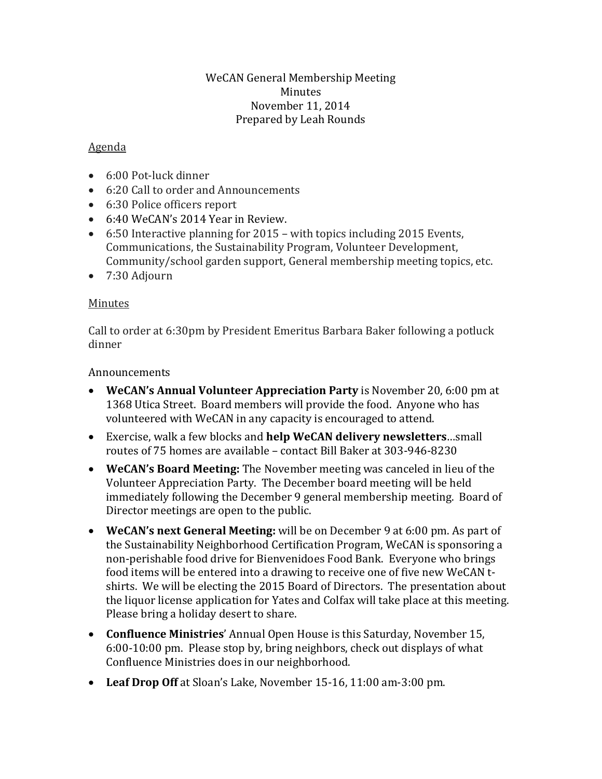#### WeCAN General Membership Meeting Minutes November 11, 2014 Prepared by Leah Rounds

## Agenda

- 6:00 Pot-luck dinner
- 6:20 Call to order and Announcements
- 6:30 Police officers report
- 6:40 WeCAN's 2014 Year in Review.
- 6:50 Interactive planning for 2015 with topics including 2015 Events, Communications, the Sustainability Program, Volunteer Development, Community/school garden support, General membership meeting topics, etc.
- 7:30 Adjourn

## Minutes

Call to order at 6:30pm by President Emeritus Barbara Baker following a potluck dinner

#### **Announcements**

- **WeCAN's Annual Volunteer Appreciation Party** is November 20, 6:00 pm at 1368 Utica Street. Board members will provide the food. Anyone who has volunteered with WeCAN in any capacity is encouraged to attend.
- Exercise, walk a few blocks and **help WeCAN delivery newsletters**…small routes of 75 homes are available – contact Bill Baker at 303-946-8230
- **WeCAN's Board Meeting:** The November meeting was canceled in lieu of the Volunteer Appreciation Party. The December board meeting will be held immediately following the December 9 general membership meeting. Board of Director meetings are open to the public.
- **WeCAN's next General Meeting:** will be on December 9 at 6:00 pm. As part of the Sustainability Neighborhood Certification Program, WeCAN is sponsoring a non-perishable food drive for Bienvenidoes Food Bank. Everyone who brings food items will be entered into a drawing to receive one of five new WeCAN tshirts. We will be electing the 2015 Board of Directors. The presentation about the liquor license application for Yates and Colfax will take place at this meeting. Please bring a holiday desert to share.
- **Confluence Ministries**' Annual Open House is this Saturday, November 15, 6:00-10:00 pm. Please stop by, bring neighbors, check out displays of what Confluence Ministries does in our neighborhood.
- **Leaf Drop Off** at Sloan's Lake, November 15-16, 11:00 am-3:00 pm.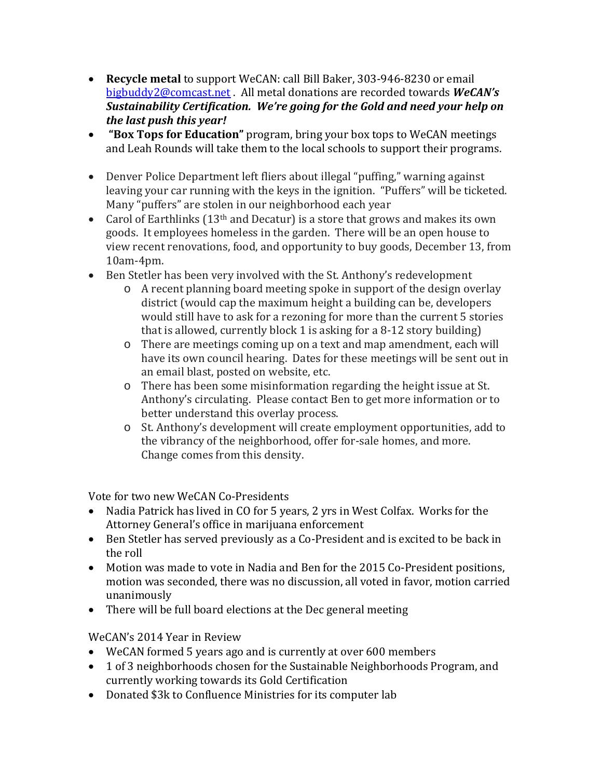- **Recycle metal** to support WeCAN: call Bill Baker, 303-946-8230 or email [bigbuddy2@comcast.net](mailto:bigbuddy2@comcast.net) . All metal donations are recorded towards *WeCAN's Sustainability Certification. We're going for the Gold and need your help on the last push this year!*
- **"Box Tops for Education"** program, bring your box tops to WeCAN meetings and Leah Rounds will take them to the local schools to support their programs.
- Denver Police Department left fliers about illegal "puffing," warning against leaving your car running with the keys in the ignition. "Puffers" will be ticketed. Many "puffers" are stolen in our neighborhood each year
- Carol of Earthlinks (13<sup>th</sup> and Decatur) is a store that grows and makes its own goods. It employees homeless in the garden. There will be an open house to view recent renovations, food, and opportunity to buy goods, December 13, from 10am-4pm.
- Ben Stetler has been very involved with the St. Anthony's redevelopment
	- o A recent planning board meeting spoke in support of the design overlay district (would cap the maximum height a building can be, developers would still have to ask for a rezoning for more than the current 5 stories that is allowed, currently block 1 is asking for a 8-12 story building)
	- o There are meetings coming up on a text and map amendment, each will have its own council hearing. Dates for these meetings will be sent out in an email blast, posted on website, etc.
	- o There has been some misinformation regarding the height issue at St. Anthony's circulating. Please contact Ben to get more information or to better understand this overlay process.
	- o St. Anthony's development will create employment opportunities, add to the vibrancy of the neighborhood, offer for-sale homes, and more. Change comes from this density.

Vote for two new WeCAN Co-Presidents

- Nadia Patrick has lived in CO for 5 years, 2 yrs in West Colfax. Works for the Attorney General's office in marijuana enforcement
- Ben Stetler has served previously as a Co-President and is excited to be back in the roll
- Motion was made to vote in Nadia and Ben for the 2015 Co-President positions, motion was seconded, there was no discussion, all voted in favor, motion carried unanimously
- There will be full board elections at the Dec general meeting

# WeCAN's 2014 Year in Review

- WeCAN formed 5 years ago and is currently at over 600 members
- 1 of 3 neighborhoods chosen for the Sustainable Neighborhoods Program, and currently working towards its Gold Certification
- Donated \$3k to Confluence Ministries for its computer lab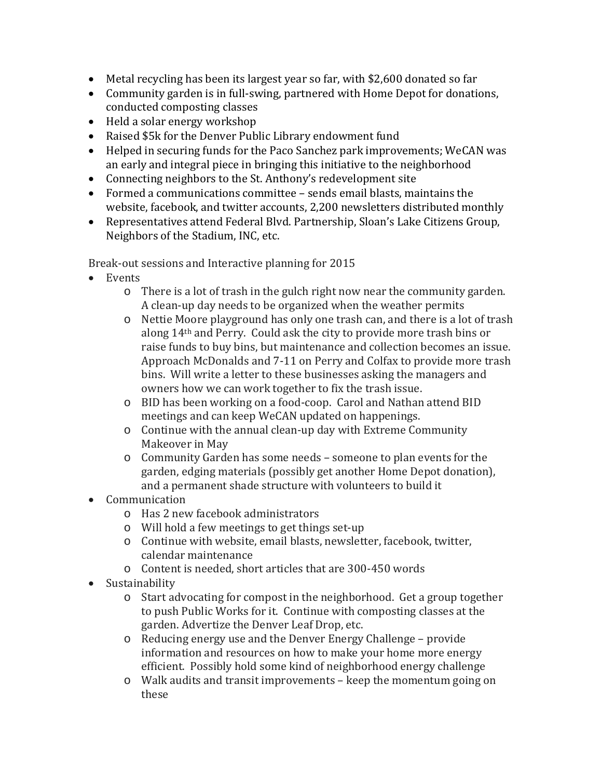- Metal recycling has been its largest year so far, with \$2,600 donated so far
- Community garden is in full-swing, partnered with Home Depot for donations, conducted composting classes
- Held a solar energy workshop
- Raised \$5k for the Denver Public Library endowment fund
- Helped in securing funds for the Paco Sanchez park improvements; WeCAN was an early and integral piece in bringing this initiative to the neighborhood
- Connecting neighbors to the St. Anthony's redevelopment site
- Formed a communications committee sends email blasts, maintains the website, facebook, and twitter accounts, 2,200 newsletters distributed monthly
- Representatives attend Federal Blvd. Partnership, Sloan's Lake Citizens Group, Neighbors of the Stadium, INC, etc.

Break-out sessions and Interactive planning for 2015

- Events
	- o There is a lot of trash in the gulch right now near the community garden. A clean-up day needs to be organized when the weather permits
	- o Nettie Moore playground has only one trash can, and there is a lot of trash along 14th and Perry. Could ask the city to provide more trash bins or raise funds to buy bins, but maintenance and collection becomes an issue. Approach McDonalds and 7-11 on Perry and Colfax to provide more trash bins. Will write a letter to these businesses asking the managers and owners how we can work together to fix the trash issue.
	- o BID has been working on a food-coop. Carol and Nathan attend BID meetings and can keep WeCAN updated on happenings.
	- o Continue with the annual clean-up day with Extreme Community Makeover in May
	- o Community Garden has some needs someone to plan events for the garden, edging materials (possibly get another Home Depot donation), and a permanent shade structure with volunteers to build it
- Communication
	- o Has 2 new facebook administrators
	- o Will hold a few meetings to get things set-up
	- o Continue with website, email blasts, newsletter, facebook, twitter, calendar maintenance
	- o Content is needed, short articles that are 300-450 words
- Sustainability
	- o Start advocating for compost in the neighborhood. Get a group together to push Public Works for it. Continue with composting classes at the garden. Advertize the Denver Leaf Drop, etc.
	- o Reducing energy use and the Denver Energy Challenge provide information and resources on how to make your home more energy efficient. Possibly hold some kind of neighborhood energy challenge
	- o Walk audits and transit improvements keep the momentum going on these